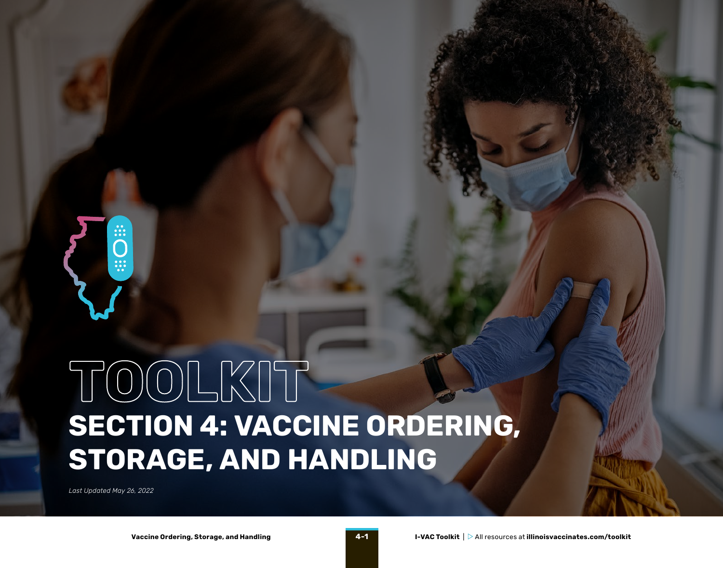

# **SECTION 4: VACCINE ORDERING, TOOLKIT STORAGE, AND HANDLING**

*Last Updated May 26, 2022*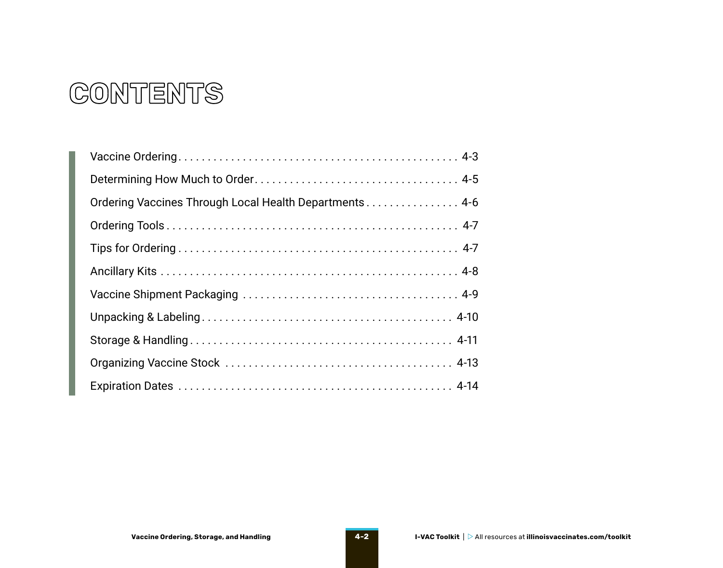### **CONTENTS**

| Ordering Vaccines Through Local Health Departments 4-6 |
|--------------------------------------------------------|
|                                                        |
|                                                        |
|                                                        |
|                                                        |
|                                                        |
|                                                        |
|                                                        |
|                                                        |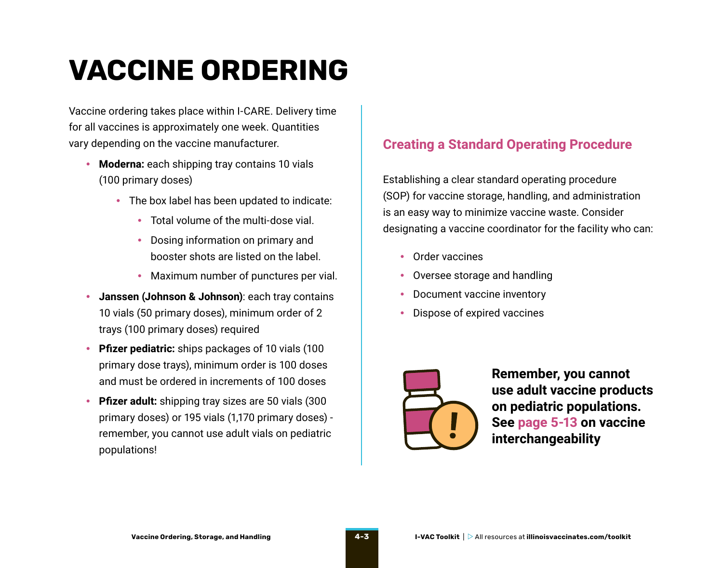## <span id="page-2-0"></span>**VACCINE ORDERING**

Vaccine ordering takes place within I-CARE. Delivery time for all vaccines is approximately one week. Quantities vary depending on the vaccine manufacturer.

- **Moderna:** each shipping tray contains 10 vials (100 primary doses)
	- The box label has been updated to indicate:
		- Total volume of the multi-dose vial.
		- Dosing information on primary and booster shots are listed on the label.
		- Maximum number of punctures per vial.
- **Janssen (Johnson & Johnson)**: each tray contains 10 vials (50 primary doses), minimum order of 2 trays (100 primary doses) required
- **Pfizer pediatric:** ships packages of 10 vials (100 primary dose trays), minimum order is 100 doses and must be ordered in increments of 100 doses
- **Pfizer adult:** shipping tray sizes are 50 vials (300 primary doses) or 195 vials (1,170 primary doses) remember, you cannot use adult vials on pediatric populations!

#### **Creating a Standard Operating Procedure**

Establishing a clear standard operating procedure (SOP) for vaccine storage, handling, and administration is an easy way to minimize vaccine waste. Consider designating a vaccine coordinator for the facility who can:

- Order vaccines
- Oversee storage and handling
- Document vaccine inventory
- Dispose of expired vaccines



**Remember, you cannot use adult vaccine products on pediatric populations. See page 5-13 on vaccine interchangeability**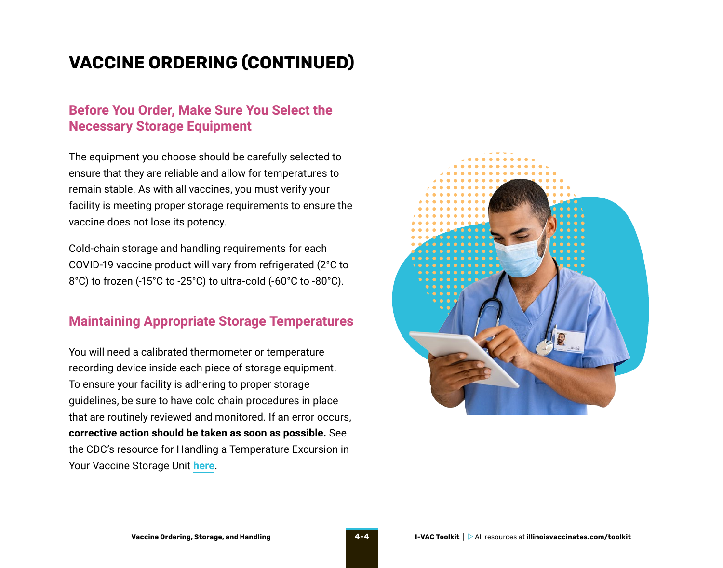### **VACCINE ORDERING (CONTINUED)**

#### **Before You Order, Make Sure You Select the Necessary Storage Equipment**

The equipment you choose should be carefully selected to ensure that they are reliable and allow for temperatures to remain stable. As with all vaccines, you must verify your facility is meeting proper storage requirements to ensure the vaccine does not lose its potency.

Cold-chain storage and handling requirements for each COVID-19 vaccine product will vary from refrigerated (2°C to 8°C) to frozen (-15°C to -25°C) to ultra-cold (-60°C to -80°C).

#### **Maintaining Appropriate Storage Temperatures**

You will need a calibrated thermometer or temperature recording device inside each piece of storage equipment. To ensure your facility is adhering to proper storage guidelines, be sure to have cold chain procedures in place that are routinely reviewed and monitored. If an error occurs, **corrective action should be taken as soon as possible.** See the CDC's resource for Handling a Temperature Excursion in Your Vaccine Storage Unit **[here](https://www.cdc.gov/vaccines/hcp/admin/storage/downloads/temperature-excursion-508.pdf)**.

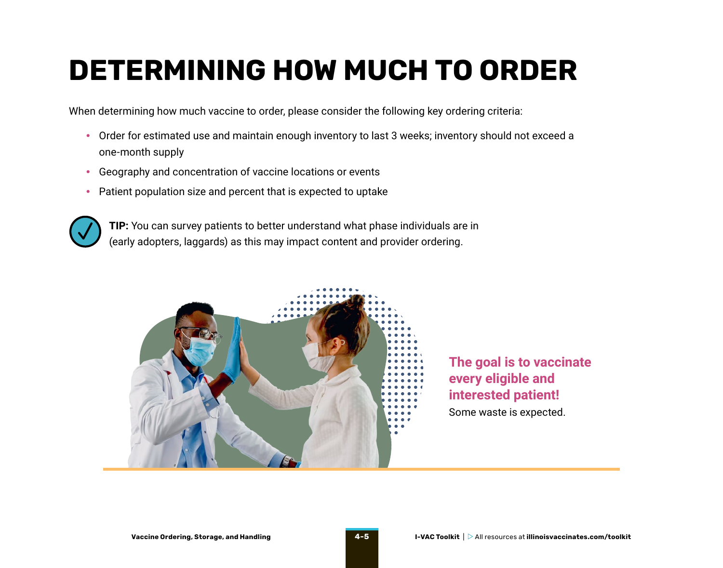## <span id="page-4-0"></span>**DETERMINING HOW MUCH TO ORDER**

When determining how much vaccine to order, please consider the following key ordering criteria:

- Order for estimated use and maintain enough inventory to last 3 weeks; inventory should not exceed a one-month supply
- Geography and concentration of vaccine locations or events
- Patient population size and percent that is expected to uptake



**TIP:** You can survey patients to better understand what phase individuals are in (early adopters, laggards) as this may impact content and provider ordering.



**The goal is to vaccinate every eligible and interested patient!** Some waste is expected.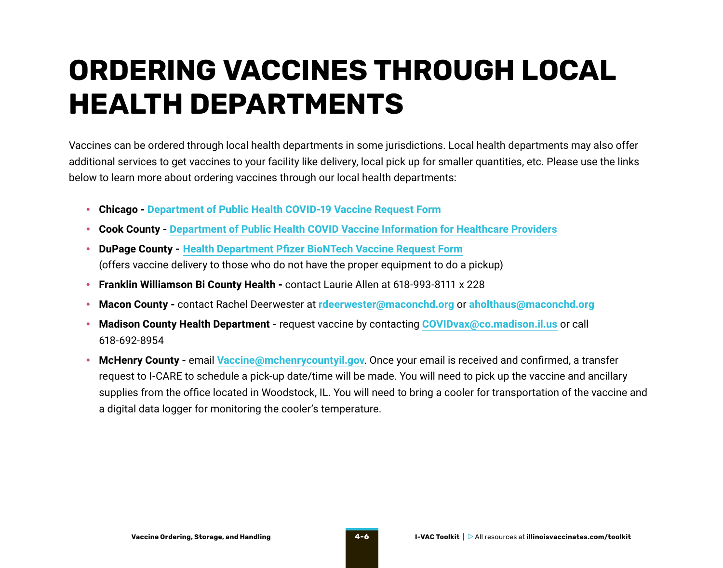## <span id="page-5-0"></span>**ORDERING VACCINES THROUGH LOCAL HEALTH DEPARTMENTS**

Vaccines can be ordered through local health departments in some jurisdictions. Local health departments may also offer additional services to get vaccines to your facility like delivery, local pick up for smaller quantities, etc. Please use the links below to learn more about ordering vaccines through our local health departments:

- **Chicago - [Department of Public Health COVID-19 Vaccine Request Form](https://redcap.dph.illinois.gov/surveys/?s=8Y8D38XKNA)**
- **Cook County - [Department of Public Health COVID Vaccine Information for Healthcare Providers](https://cookcountypublichealth.org/communicable-diseases/covid-19/covid-vaccine/healthcare-providers/)**
- **DuPage County - [Health Department Pfizer BioNTech Vaccine Request Form](https://forms.office.com/pages/responsepage.aspx?id=aFBeKI6Is06Ykmq8Yo2vWv0xfVXjofBDl9eznTwkEYpUMUtDTDFCRDZORkkxU005TUc4QUNMNERORy4u)** (offers vaccine delivery to those who do not have the proper equipment to do a pickup)
- **Franklin Williamson Bi County Health** contact Laurie Allen at 618-993-8111 x 228
- **Macon County** contact Rachel Deerwester at **[rdeerwester@maconchd.org](mailto:rdeerwester%40maconchd.org?subject=)** or **[aholthaus@maconchd.org](mailto:aholthaus%40maconchd.org?subject=)**
- **Madison County Health Department** request vaccine by contacting **[COVIDvax@co.madison.il.us](mailto:COVIDvax%40co.madison.il.us?subject=)** or call 618-692-8954
- **McHenry County -** email **[Vaccine@mchenrycountyil.gov](mailto:Vaccine%40mchenrycountyil.gov?subject=)**. Once your email is received and confirmed, a transfer request to I-CARE to schedule a pick-up date/time will be made. You will need to pick up the vaccine and ancillary supplies from the office located in Woodstock, IL. You will need to bring a cooler for transportation of the vaccine and a digital data logger for monitoring the cooler's temperature.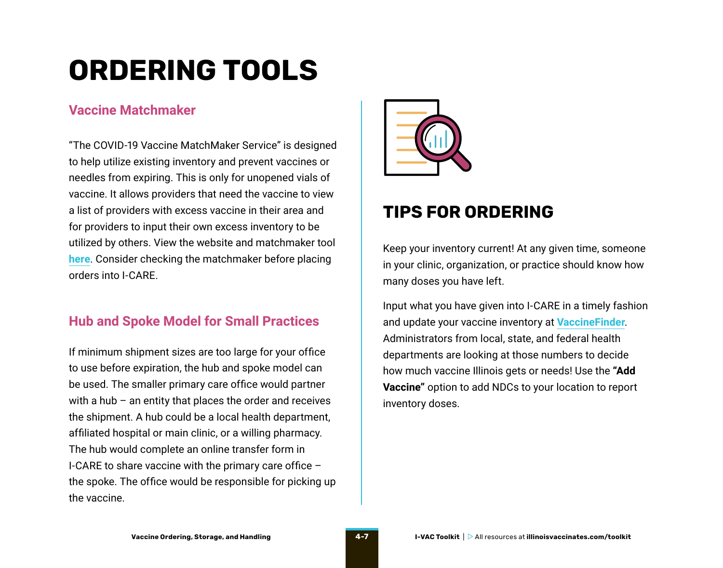## <span id="page-6-0"></span>**ORDERING TOOLS**

#### **Vaccine Matchmaker**

"The COVID-19 Vaccine MatchMaker Service" is designed to help utilize existing inventory and prevent vaccines or needles from expiring. This is only for unopened vials of vaccine. It allows providers that need the vaccine to view a list of providers with excess vaccine in their area and for providers to input their own excess inventory to be utilized by others. View the website and matchmaker tool **[here](https://app.smartsheet.com/b/publish?EQBCT=1d3b52a144224e3c952e7099d19952dc)**. Consider checking the matchmaker before placing orders into I-CARE.

#### **Hub and Spoke Model for Small Practices**

If minimum shipment sizes are too large for your office to use before expiration, the hub and spoke model can be used. The smaller primary care office would partner with a hub – an entity that places the order and receives the shipment. A hub could be a local health department, affiliated hospital or main clinic, or a willing pharmacy. The hub would complete an online transfer form in I-CARE to share vaccine with the primary care office – the spoke. The office would be responsible for picking up the vaccine.



#### **TIPS FOR ORDERING**

Keep your inventory current! At any given time, someone in your clinic, organization, or practice should know how many doses you have left.

Input what you have given into I-CARE in a timely fashion and update your vaccine inventory at **[VaccineFinder](https://data.cdc.gov/Vaccinations/Vaccines-gov-COVID-19-vaccinating-provider-locatio/5jp2-pgaw)**. Administrators from local, state, and federal health departments are looking at those numbers to decide how much vaccine Illinois gets or needs! Use the **"Add Vaccine"** option to add NDCs to your location to report inventory doses.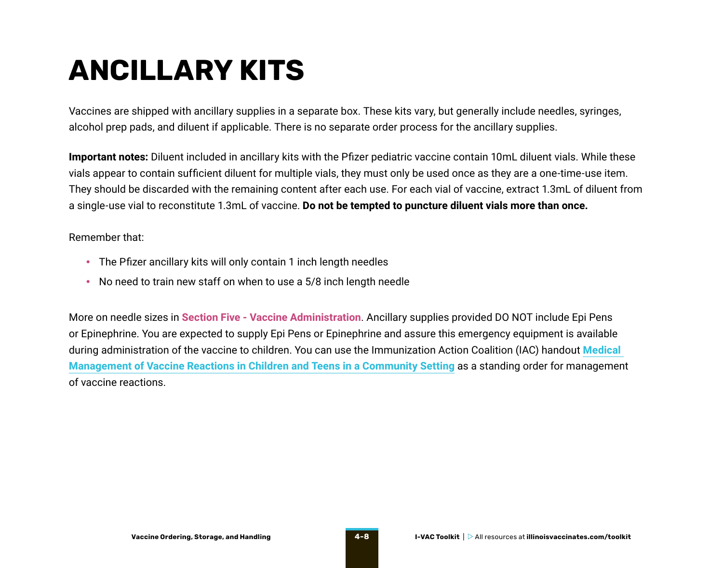### <span id="page-7-0"></span>**ANCILLARY KITS**

Vaccines are shipped with ancillary supplies in a separate box. These kits vary, but generally include needles, syringes, alcohol prep pads, and diluent if applicable. There is no separate order process for the ancillary supplies.

**Important notes:** Diluent included in ancillary kits with the Pfizer pediatric vaccine contain 10mL diluent vials. While these vials appear to contain sufficient diluent for multiple vials, they must only be used once as they are a one-time-use item. They should be discarded with the remaining content after each use. For each vial of vaccine, extract 1.3mL of diluent from a single-use vial to reconstitute 1.3mL of vaccine. **Do not be tempted to puncture diluent vials more than once.**

Remember that:

- The Pfizer ancillary kits will only contain 1 inch length needles
- No need to train new staff on when to use a 5/8 inch length needle

More on needle sizes in **Section Five - Vaccine Administration**. Ancillary supplies provided DO NOT include Epi Pens or Epinephrine. You are expected to supply Epi Pens or Epinephrine and assure this emergency equipment is available during administration of the vaccine to children. You can use the Immunization Action Coalition (IAC) handout **[Medical](https://www.immunize.org/catg.d/p3082a.pdf)  [Management of Vaccine Reactions in Children and Teens in a Community Setting](https://www.immunize.org/catg.d/p3082a.pdf)** as a standing order for management of vaccine reactions.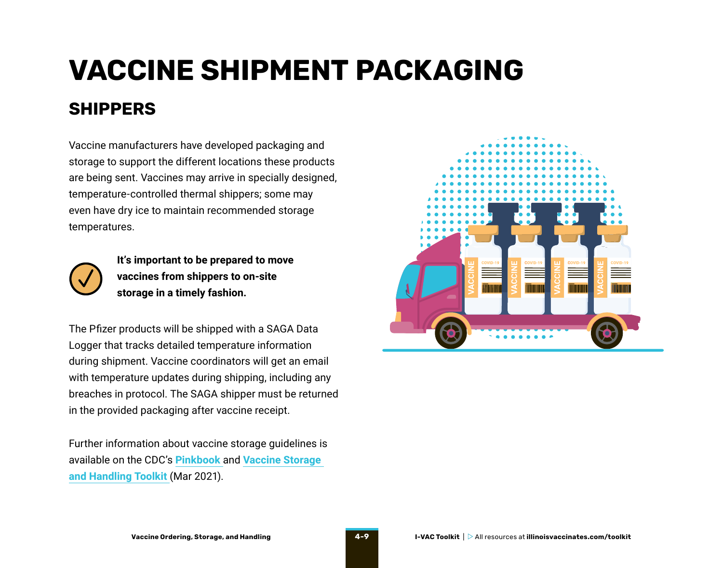## <span id="page-8-0"></span>**VACCINE SHIPMENT PACKAGING SHIPPERS**

Vaccine manufacturers have developed packaging and storage to support the different locations these products are being sent. Vaccines may arrive in specially designed, temperature-controlled thermal shippers; some may even have dry ice to maintain recommended storage temperatures.



**It's important to be prepared to move vaccines from shippers to on-site storage in a timely fashion.** 

The Pfizer products will be shipped with a SAGA Data Logger that tracks detailed temperature information during shipment. Vaccine coordinators will get an email with temperature updates during shipping, including any breaches in protocol. The SAGA shipper must be returned in the provided packaging after vaccine receipt.

Further information about vaccine storage guidelines is available on the CDC's **[Pinkbook](https://www.cdc.gov/vaccines/pubs/pinkbook/vac-storage.html)** and **[Vaccine Storage](https://www.cdc.gov/vaccines/hcp/admin/storage/toolkit/index.html)  [and Handling Toolkit](https://www.cdc.gov/vaccines/hcp/admin/storage/toolkit/index.html)** (Mar 2021).

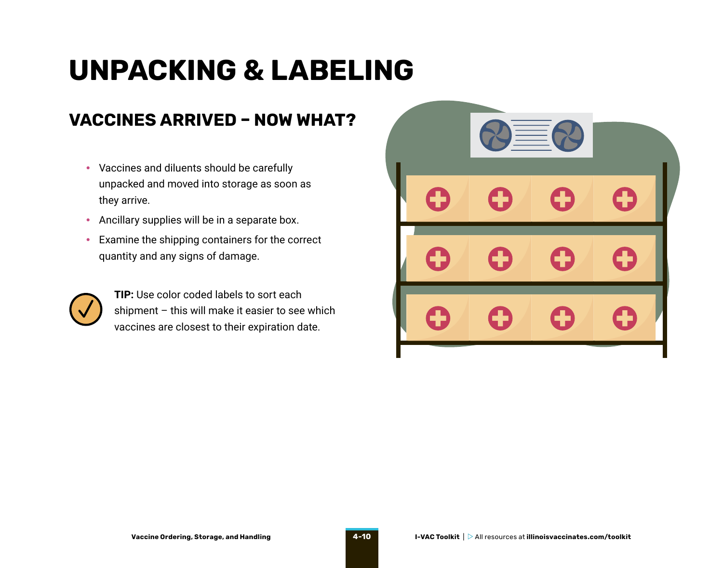## <span id="page-9-0"></span>**UNPACKING & LABELING**

#### **VACCINES ARRIVED – NOW WHAT?**

- Vaccines and diluents should be carefully unpacked and moved into storage as soon as they arrive.
- Ancillary supplies will be in a separate box.
- Examine the shipping containers for the correct quantity and any signs of damage.



**TIP:** Use color coded labels to sort each shipment – this will make it easier to see which vaccines are closest to their expiration date.

|   | <u> = = </u> |   |   |
|---|--------------|---|---|
| O | 0            | O | O |
| 0 | O            | 0 | O |
| H | 0            | 0 | H |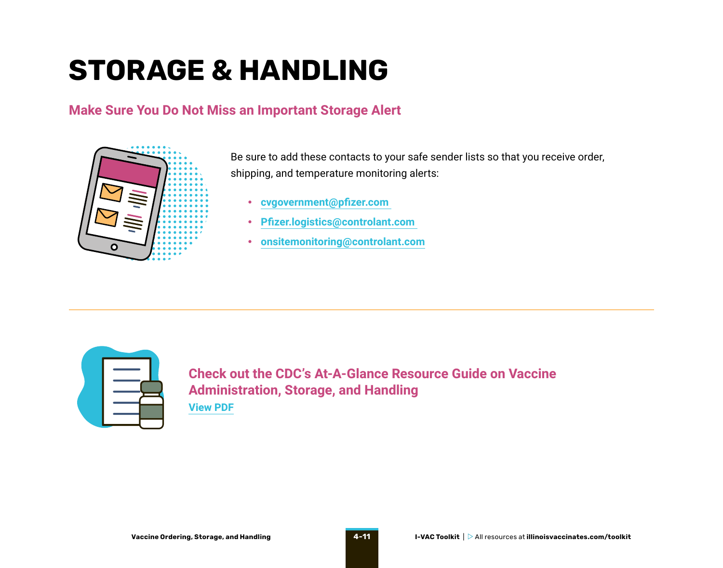## <span id="page-10-0"></span>**STORAGE & HANDLING**

#### **Make Sure You Do Not Miss an Important Storage Alert**



Be sure to add these contacts to your safe sender lists so that you receive order, shipping, and temperature monitoring alerts:

- **[cvgovernment@pfizer.com](mailto:cvgovernment%40pfizer.com?subject=)**
- **[Pfizer.logistics@controlant.com](mailto:Pfizer.logistics%40controlant.com%20?subject=)**
- **[onsitemonitoring@controlant.com](mailto:onsitemonitoring%40controlant.com?subject=)**



**Check out the CDC's At-A-Glance Resource Guide on Vaccine Administration, Storage, and Handling [View PDF](https://www.cdc.gov/vaccines/hcp/admin/downloads/vacc-admin-storage-guide.pdf)**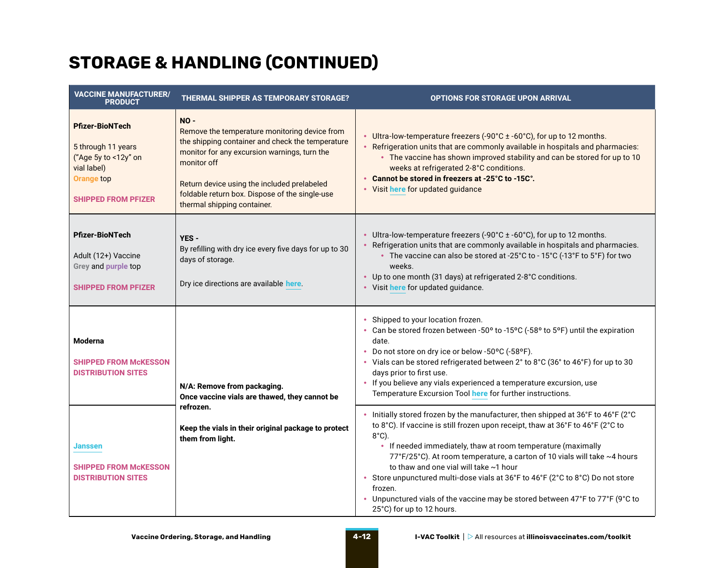### **STORAGE & HANDLING (CONTINUED)**

| <b>VACCINE MANUFACTURER/</b><br><b>PRODUCT</b>                                                                                         | <b>THERMAL SHIPPER AS TEMPORARY STORAGE?</b>                                                                                                                                                                                                                                                               | <b>OPTIONS FOR STORAGE UPON ARRIVAL</b>                                                                                                                                                                                                                                                                                                                                                                                                                                                                                                                                              |
|----------------------------------------------------------------------------------------------------------------------------------------|------------------------------------------------------------------------------------------------------------------------------------------------------------------------------------------------------------------------------------------------------------------------------------------------------------|--------------------------------------------------------------------------------------------------------------------------------------------------------------------------------------------------------------------------------------------------------------------------------------------------------------------------------------------------------------------------------------------------------------------------------------------------------------------------------------------------------------------------------------------------------------------------------------|
| <b>Pfizer-BioNTech</b><br>5 through 11 years<br>("Age 5y to <12y" on<br>vial label)<br><b>Orange top</b><br><b>SHIPPED FROM PFIZER</b> | $NO -$<br>Remove the temperature monitoring device from<br>the shipping container and check the temperature<br>monitor for any excursion warnings, turn the<br>monitor off<br>Return device using the included prelabeled<br>foldable return box. Dispose of the single-use<br>thermal shipping container. | • Ultra-low-temperature freezers (-90°C ± -60°C), for up to 12 months.<br>• Refrigeration units that are commonly available in hospitals and pharmacies:<br>• The vaccine has shown improved stability and can be stored for up to 10<br>weeks at refrigerated 2-8°C conditions.<br>Cannot be stored in freezers at -25°C to -15C°.<br>• Visit here for updated guidance                                                                                                                                                                                                             |
| <b>Pfizer-BioNTech</b><br>Adult (12+) Vaccine<br>Grey and purple top<br><b>SHIPPED FROM PFIZER</b>                                     | YES -<br>By refilling with dry ice every five days for up to 30<br>days of storage.<br>Dry ice directions are available here.                                                                                                                                                                              | • Ultra-low-temperature freezers (-90°C ± -60°C), for up to 12 months.<br>Refrigeration units that are commonly available in hospitals and pharmacies.<br>• The vaccine can also be stored at -25°C to - 15°C (-13°F to 5°F) for two<br>weeks.<br>• Up to one month (31 days) at refrigerated 2-8°C conditions.<br>• Visit here for updated guidance.                                                                                                                                                                                                                                |
| <b>Moderna</b><br><b>SHIPPED FROM McKESSON</b><br><b>DISTRIBUTION SITES</b>                                                            | N/A: Remove from packaging.<br>Once vaccine vials are thawed, they cannot be                                                                                                                                                                                                                               | Shipped to your location frozen.<br>• Can be stored frozen between -50° to -15°C (-58° to 5°F) until the expiration<br>date.<br>Do not store on dry ice or below -50°C (-58°F).<br>• Vials can be stored refrigerated between 2° to 8°C (36° to 46°F) for up to 30<br>days prior to first use.<br>If you believe any vials experienced a temperature excursion, use<br>٠<br>Temperature Excursion Tool here for further instructions.                                                                                                                                                |
| Janssen<br><b>SHIPPED FROM McKESSON</b><br><b>DISTRIBUTION SITES</b>                                                                   | refrozen.<br>Keep the vials in their original package to protect<br>them from light.                                                                                                                                                                                                                       | Initially stored frozen by the manufacturer, then shipped at 36°F to 46°F (2°C<br>to 8°C). If vaccine is still frozen upon receipt, thaw at 36°F to 46°F (2°C to<br>$8^{\circ}$ C).<br>• If needed immediately, thaw at room temperature (maximally<br>77°F/25°C). At room temperature, a carton of 10 vials will take ~4 hours<br>to thaw and one vial will take ~1 hour<br>• Store unpunctured multi-dose vials at 36°F to 46°F (2°C to 8°C) Do not store<br>frozen.<br>• Unpunctured vials of the vaccine may be stored between 47°F to 77°F (9°C to<br>25°C) for up to 12 hours. |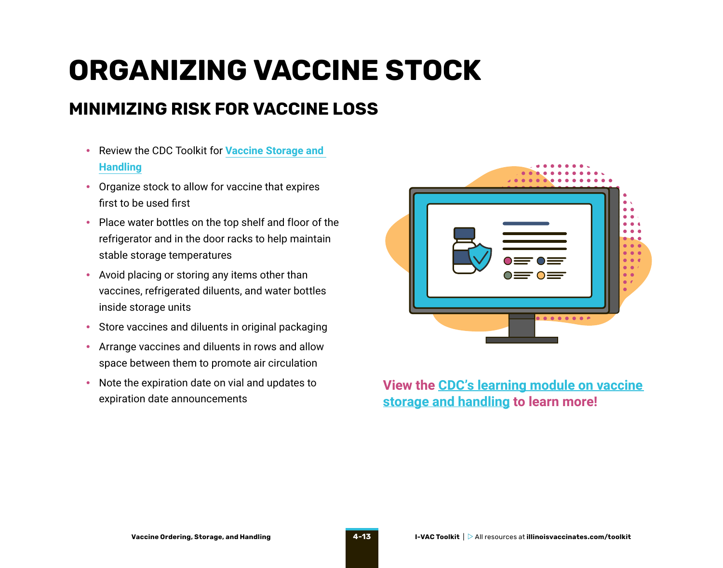## <span id="page-12-0"></span>**ORGANIZING VACCINE STOCK**

#### **MINIMIZING RISK FOR VACCINE LOSS**

- Review the CDC Toolkit for **[Vaccine Storage and](https://www.cdc.gov/vaccines/hcp/admin/storage/toolkit/storage-handling-toolkit.pdf)  [Handling](https://www.cdc.gov/vaccines/hcp/admin/storage/toolkit/storage-handling-toolkit.pdf)**
- Organize stock to allow for vaccine that expires first to be used first
- Place water bottles on the top shelf and floor of the refrigerator and in the door racks to help maintain stable storage temperatures
- Avoid placing or storing any items other than vaccines, refrigerated diluents, and water bottles inside storage units
- Store vaccines and diluents in original packaging
- Arrange vaccines and diluents in rows and allow space between them to promote air circulation
- Note the expiration date on vial and updates to expiration date announcements



#### **View the [CDC's learning module on vaccine](https://www2a.cdc.gov/nip/isd/ycts/mod1/courses/sh/index.html)  [storage and handling](https://www2a.cdc.gov/nip/isd/ycts/mod1/courses/sh/index.html) to learn more!**